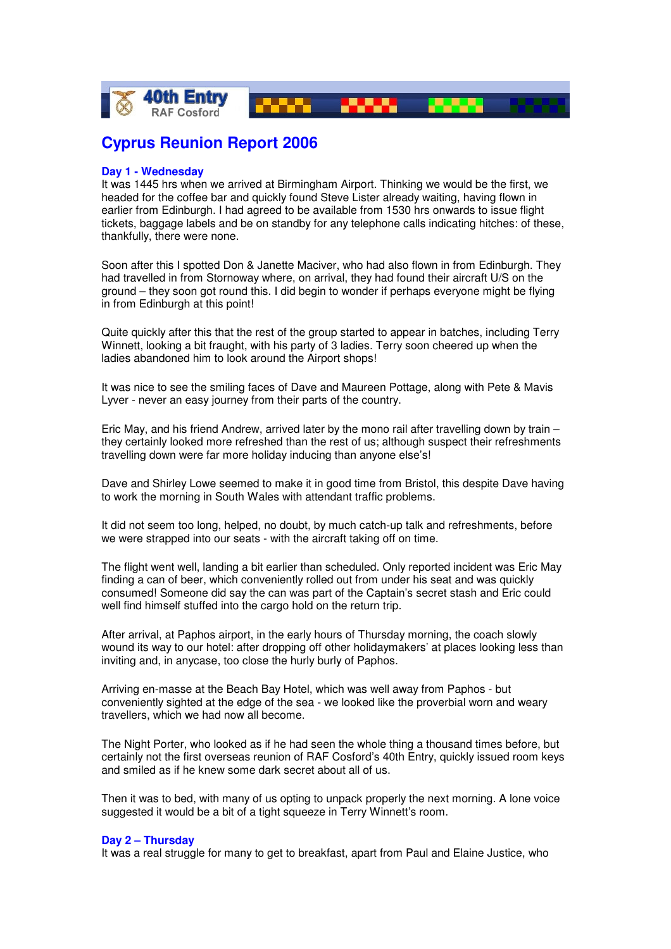

# **Cyprus Reunion Report 2006**

## **Day 1 - Wednesday**

It was 1445 hrs when we arrived at Birmingham Airport. Thinking we would be the first, we headed for the coffee bar and quickly found Steve Lister already waiting, having flown in earlier from Edinburgh. I had agreed to be available from 1530 hrs onwards to issue flight tickets, baggage labels and be on standby for any telephone calls indicating hitches: of these, thankfully, there were none.

Soon after this I spotted Don & Janette Maciver, who had also flown in from Edinburgh. They had travelled in from Stornoway where, on arrival, they had found their aircraft U/S on the ground – they soon got round this. I did begin to wonder if perhaps everyone might be flying in from Edinburgh at this point!

Quite quickly after this that the rest of the group started to appear in batches, including Terry Winnett, looking a bit fraught, with his party of 3 ladies. Terry soon cheered up when the ladies abandoned him to look around the Airport shops!

It was nice to see the smiling faces of Dave and Maureen Pottage, along with Pete & Mavis Lyver - never an easy journey from their parts of the country.

Eric May, and his friend Andrew, arrived later by the mono rail after travelling down by train – they certainly looked more refreshed than the rest of us; although suspect their refreshments travelling down were far more holiday inducing than anyone else's!

Dave and Shirley Lowe seemed to make it in good time from Bristol, this despite Dave having to work the morning in South Wales with attendant traffic problems.

It did not seem too long, helped, no doubt, by much catch-up talk and refreshments, before we were strapped into our seats - with the aircraft taking off on time.

The flight went well, landing a bit earlier than scheduled. Only reported incident was Eric May finding a can of beer, which conveniently rolled out from under his seat and was quickly consumed! Someone did say the can was part of the Captain's secret stash and Eric could well find himself stuffed into the cargo hold on the return trip.

After arrival, at Paphos airport, in the early hours of Thursday morning, the coach slowly wound its way to our hotel: after dropping off other holidaymakers' at places looking less than inviting and, in anycase, too close the hurly burly of Paphos.

Arriving en-masse at the Beach Bay Hotel, which was well away from Paphos - but conveniently sighted at the edge of the sea - we looked like the proverbial worn and weary travellers, which we had now all become.

The Night Porter, who looked as if he had seen the whole thing a thousand times before, but certainly not the first overseas reunion of RAF Cosford's 40th Entry, quickly issued room keys and smiled as if he knew some dark secret about all of us.

Then it was to bed, with many of us opting to unpack properly the next morning. A lone voice suggested it would be a bit of a tight squeeze in Terry Winnett's room.

#### **Day 2 – Thursday**

It was a real struggle for many to get to breakfast, apart from Paul and Elaine Justice, who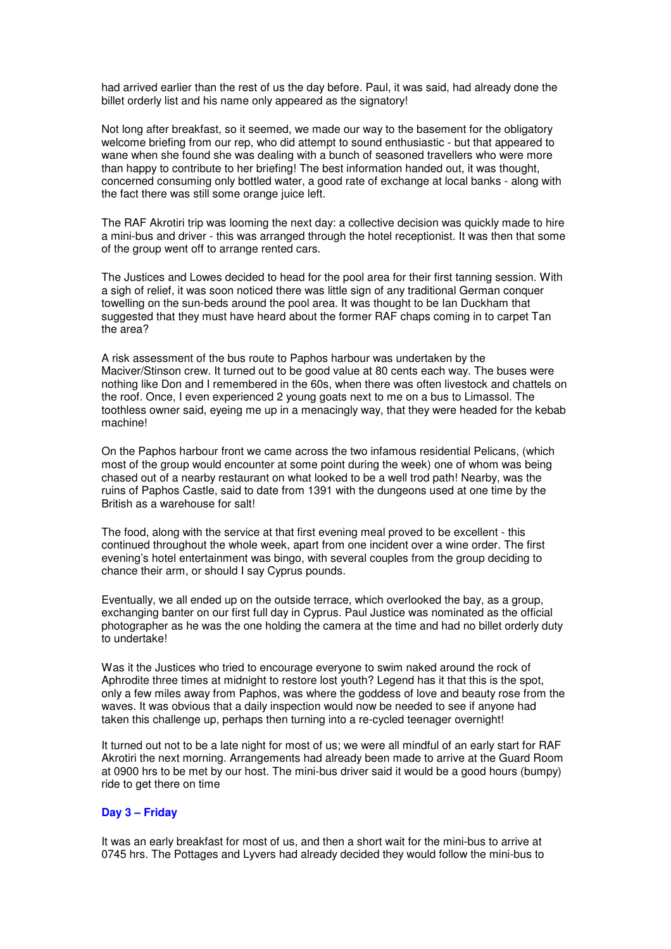had arrived earlier than the rest of us the day before. Paul, it was said, had already done the billet orderly list and his name only appeared as the signatory!

Not long after breakfast, so it seemed, we made our way to the basement for the obligatory welcome briefing from our rep, who did attempt to sound enthusiastic - but that appeared to wane when she found she was dealing with a bunch of seasoned travellers who were more than happy to contribute to her briefing! The best information handed out, it was thought, concerned consuming only bottled water, a good rate of exchange at local banks - along with the fact there was still some orange juice left.

The RAF Akrotiri trip was looming the next day: a collective decision was quickly made to hire a mini-bus and driver - this was arranged through the hotel receptionist. It was then that some of the group went off to arrange rented cars.

The Justices and Lowes decided to head for the pool area for their first tanning session. With a sigh of relief, it was soon noticed there was little sign of any traditional German conquer towelling on the sun-beds around the pool area. It was thought to be Ian Duckham that suggested that they must have heard about the former RAF chaps coming in to carpet Tan the area?

A risk assessment of the bus route to Paphos harbour was undertaken by the Maciver/Stinson crew. It turned out to be good value at 80 cents each way. The buses were nothing like Don and I remembered in the 60s, when there was often livestock and chattels on the roof. Once, I even experienced 2 young goats next to me on a bus to Limassol. The toothless owner said, eyeing me up in a menacingly way, that they were headed for the kebab machine!

On the Paphos harbour front we came across the two infamous residential Pelicans, (which most of the group would encounter at some point during the week) one of whom was being chased out of a nearby restaurant on what looked to be a well trod path! Nearby, was the ruins of Paphos Castle, said to date from 1391 with the dungeons used at one time by the British as a warehouse for salt!

The food, along with the service at that first evening meal proved to be excellent - this continued throughout the whole week, apart from one incident over a wine order. The first evening's hotel entertainment was bingo, with several couples from the group deciding to chance their arm, or should I say Cyprus pounds.

Eventually, we all ended up on the outside terrace, which overlooked the bay, as a group, exchanging banter on our first full day in Cyprus. Paul Justice was nominated as the official photographer as he was the one holding the camera at the time and had no billet orderly duty to undertake!

Was it the Justices who tried to encourage everyone to swim naked around the rock of Aphrodite three times at midnight to restore lost youth? Legend has it that this is the spot, only a few miles away from Paphos, was where the goddess of love and beauty rose from the waves. It was obvious that a daily inspection would now be needed to see if anyone had taken this challenge up, perhaps then turning into a re-cycled teenager overnight!

It turned out not to be a late night for most of us; we were all mindful of an early start for RAF Akrotiri the next morning. Arrangements had already been made to arrive at the Guard Room at 0900 hrs to be met by our host. The mini-bus driver said it would be a good hours (bumpy) ride to get there on time

## **Day 3 – Friday**

It was an early breakfast for most of us, and then a short wait for the mini-bus to arrive at 0745 hrs. The Pottages and Lyvers had already decided they would follow the mini-bus to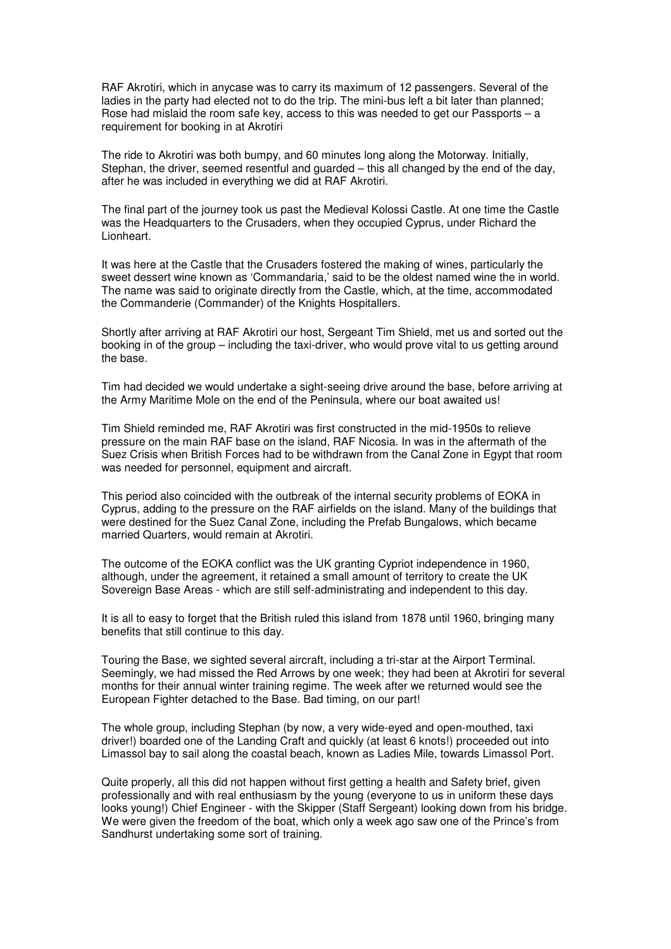RAF Akrotiri, which in anycase was to carry its maximum of 12 passengers. Several of the ladies in the party had elected not to do the trip. The mini-bus left a bit later than planned; Rose had mislaid the room safe key, access to this was needed to get our Passports – a requirement for booking in at Akrotiri

The ride to Akrotiri was both bumpy, and 60 minutes long along the Motorway. Initially, Stephan, the driver, seemed resentful and guarded – this all changed by the end of the day, after he was included in everything we did at RAF Akrotiri.

The final part of the journey took us past the Medieval Kolossi Castle. At one time the Castle was the Headquarters to the Crusaders, when they occupied Cyprus, under Richard the Lionheart.

It was here at the Castle that the Crusaders fostered the making of wines, particularly the sweet dessert wine known as 'Commandaria,' said to be the oldest named wine the in world. The name was said to originate directly from the Castle, which, at the time, accommodated the Commanderie (Commander) of the Knights Hospitallers.

Shortly after arriving at RAF Akrotiri our host, Sergeant Tim Shield, met us and sorted out the booking in of the group – including the taxi-driver, who would prove vital to us getting around the base.

Tim had decided we would undertake a sight-seeing drive around the base, before arriving at the Army Maritime Mole on the end of the Peninsula, where our boat awaited us!

Tim Shield reminded me, RAF Akrotiri was first constructed in the mid-1950s to relieve pressure on the main RAF base on the island, RAF Nicosia. In was in the aftermath of the Suez Crisis when British Forces had to be withdrawn from the Canal Zone in Egypt that room was needed for personnel, equipment and aircraft.

This period also coincided with the outbreak of the internal security problems of EOKA in Cyprus, adding to the pressure on the RAF airfields on the island. Many of the buildings that were destined for the Suez Canal Zone, including the Prefab Bungalows, which became married Quarters, would remain at Akrotiri.

The outcome of the EOKA conflict was the UK granting Cypriot independence in 1960, although, under the agreement, it retained a small amount of territory to create the UK Sovereign Base Areas - which are still self-administrating and independent to this day.

It is all to easy to forget that the British ruled this island from 1878 until 1960, bringing many benefits that still continue to this day.

Touring the Base, we sighted several aircraft, including a tri-star at the Airport Terminal. Seemingly, we had missed the Red Arrows by one week; they had been at Akrotiri for several months for their annual winter training regime. The week after we returned would see the European Fighter detached to the Base. Bad timing, on our part!

The whole group, including Stephan (by now, a very wide-eyed and open-mouthed, taxi driver!) boarded one of the Landing Craft and quickly (at least 6 knots!) proceeded out into Limassol bay to sail along the coastal beach, known as Ladies Mile, towards Limassol Port.

Quite properly, all this did not happen without first getting a health and Safety brief, given professionally and with real enthusiasm by the young (everyone to us in uniform these days looks young!) Chief Engineer - with the Skipper (Staff Sergeant) looking down from his bridge. We were given the freedom of the boat, which only a week ago saw one of the Prince's from Sandhurst undertaking some sort of training.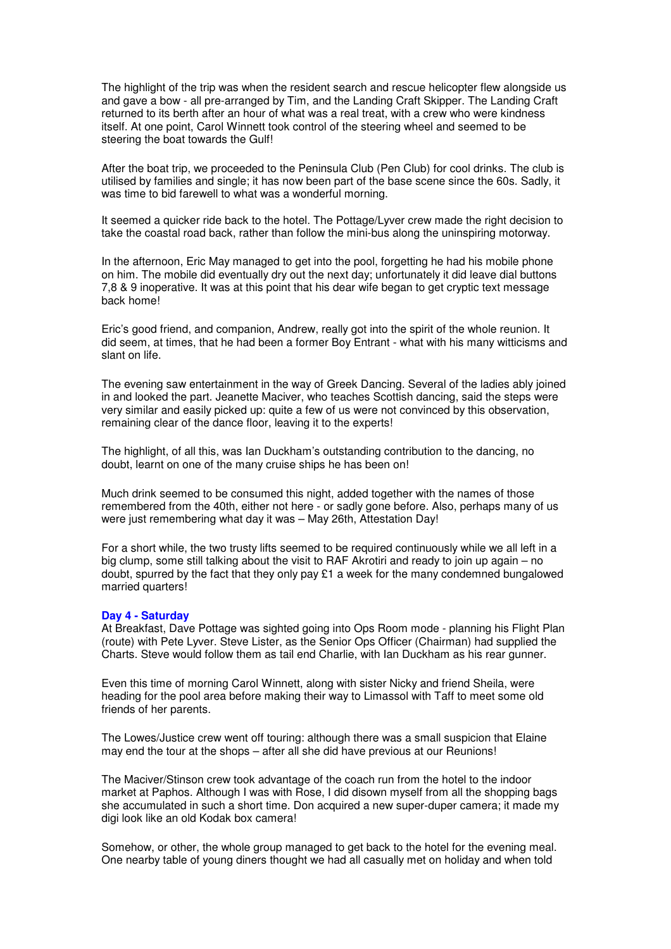The highlight of the trip was when the resident search and rescue helicopter flew alongside us and gave a bow - all pre-arranged by Tim, and the Landing Craft Skipper. The Landing Craft returned to its berth after an hour of what was a real treat, with a crew who were kindness itself. At one point, Carol Winnett took control of the steering wheel and seemed to be steering the boat towards the Gulf!

After the boat trip, we proceeded to the Peninsula Club (Pen Club) for cool drinks. The club is utilised by families and single; it has now been part of the base scene since the 60s. Sadly, it was time to bid farewell to what was a wonderful morning.

It seemed a quicker ride back to the hotel. The Pottage/Lyver crew made the right decision to take the coastal road back, rather than follow the mini-bus along the uninspiring motorway.

In the afternoon, Eric May managed to get into the pool, forgetting he had his mobile phone on him. The mobile did eventually dry out the next day; unfortunately it did leave dial buttons 7,8 & 9 inoperative. It was at this point that his dear wife began to get cryptic text message back home!

Eric's good friend, and companion, Andrew, really got into the spirit of the whole reunion. It did seem, at times, that he had been a former Boy Entrant - what with his many witticisms and slant on life.

The evening saw entertainment in the way of Greek Dancing. Several of the ladies ably joined in and looked the part. Jeanette Maciver, who teaches Scottish dancing, said the steps were very similar and easily picked up: quite a few of us were not convinced by this observation, remaining clear of the dance floor, leaving it to the experts!

The highlight, of all this, was Ian Duckham's outstanding contribution to the dancing, no doubt, learnt on one of the many cruise ships he has been on!

Much drink seemed to be consumed this night, added together with the names of those remembered from the 40th, either not here - or sadly gone before. Also, perhaps many of us were just remembering what day it was – May 26th, Attestation Day!

For a short while, the two trusty lifts seemed to be required continuously while we all left in a big clump, some still talking about the visit to RAF Akrotiri and ready to join up again – no doubt, spurred by the fact that they only pay £1 a week for the many condemned bungalowed married quarters!

### **Day 4 - Saturday**

At Breakfast, Dave Pottage was sighted going into Ops Room mode - planning his Flight Plan (route) with Pete Lyver. Steve Lister, as the Senior Ops Officer (Chairman) had supplied the Charts. Steve would follow them as tail end Charlie, with Ian Duckham as his rear gunner.

Even this time of morning Carol Winnett, along with sister Nicky and friend Sheila, were heading for the pool area before making their way to Limassol with Taff to meet some old friends of her parents.

The Lowes/Justice crew went off touring: although there was a small suspicion that Elaine may end the tour at the shops – after all she did have previous at our Reunions!

The Maciver/Stinson crew took advantage of the coach run from the hotel to the indoor market at Paphos. Although I was with Rose, I did disown myself from all the shopping bags she accumulated in such a short time. Don acquired a new super-duper camera; it made my digi look like an old Kodak box camera!

Somehow, or other, the whole group managed to get back to the hotel for the evening meal. One nearby table of young diners thought we had all casually met on holiday and when told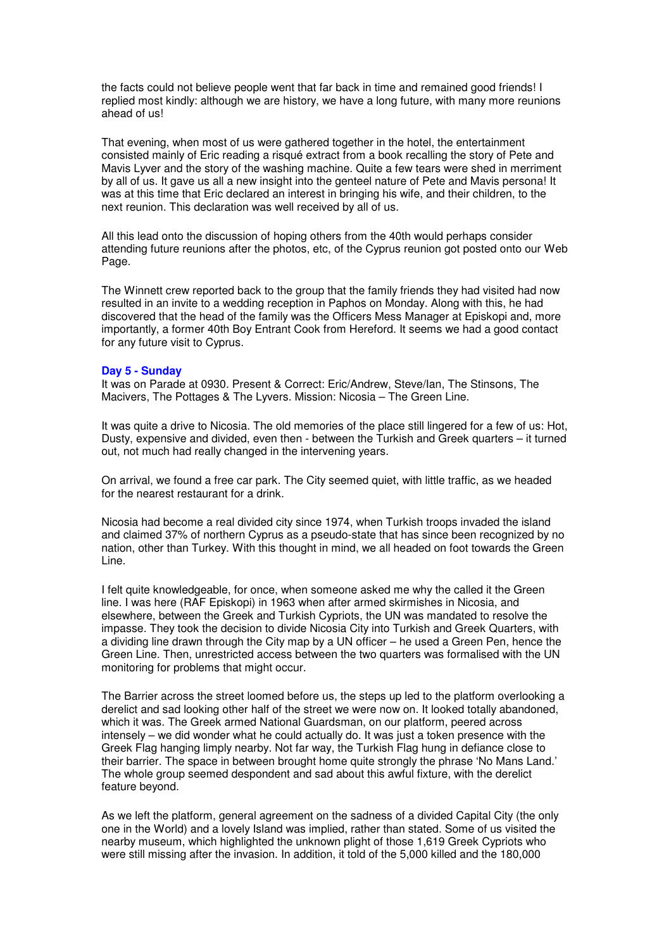the facts could not believe people went that far back in time and remained good friends! I replied most kindly: although we are history, we have a long future, with many more reunions ahead of us!

That evening, when most of us were gathered together in the hotel, the entertainment consisted mainly of Eric reading a risqué extract from a book recalling the story of Pete and Mavis Lyver and the story of the washing machine. Quite a few tears were shed in merriment by all of us. It gave us all a new insight into the genteel nature of Pete and Mavis persona! It was at this time that Eric declared an interest in bringing his wife, and their children, to the next reunion. This declaration was well received by all of us.

All this lead onto the discussion of hoping others from the 40th would perhaps consider attending future reunions after the photos, etc, of the Cyprus reunion got posted onto our Web Page.

The Winnett crew reported back to the group that the family friends they had visited had now resulted in an invite to a wedding reception in Paphos on Monday. Along with this, he had discovered that the head of the family was the Officers Mess Manager at Episkopi and, more importantly, a former 40th Boy Entrant Cook from Hereford. It seems we had a good contact for any future visit to Cyprus.

### **Day 5 - Sunday**

It was on Parade at 0930. Present & Correct: Eric/Andrew, Steve/Ian, The Stinsons, The Macivers, The Pottages & The Lyvers. Mission: Nicosia – The Green Line.

It was quite a drive to Nicosia. The old memories of the place still lingered for a few of us: Hot, Dusty, expensive and divided, even then - between the Turkish and Greek quarters – it turned out, not much had really changed in the intervening years.

On arrival, we found a free car park. The City seemed quiet, with little traffic, as we headed for the nearest restaurant for a drink.

Nicosia had become a real divided city since 1974, when Turkish troops invaded the island and claimed 37% of northern Cyprus as a pseudo-state that has since been recognized by no nation, other than Turkey. With this thought in mind, we all headed on foot towards the Green Line.

I felt quite knowledgeable, for once, when someone asked me why the called it the Green line. I was here (RAF Episkopi) in 1963 when after armed skirmishes in Nicosia, and elsewhere, between the Greek and Turkish Cypriots, the UN was mandated to resolve the impasse. They took the decision to divide Nicosia City into Turkish and Greek Quarters, with a dividing line drawn through the City map by a UN officer – he used a Green Pen, hence the Green Line. Then, unrestricted access between the two quarters was formalised with the UN monitoring for problems that might occur.

The Barrier across the street loomed before us, the steps up led to the platform overlooking a derelict and sad looking other half of the street we were now on. It looked totally abandoned, which it was. The Greek armed National Guardsman, on our platform, peered across intensely – we did wonder what he could actually do. It was just a token presence with the Greek Flag hanging limply nearby. Not far way, the Turkish Flag hung in defiance close to their barrier. The space in between brought home quite strongly the phrase 'No Mans Land.' The whole group seemed despondent and sad about this awful fixture, with the derelict feature beyond.

As we left the platform, general agreement on the sadness of a divided Capital City (the only one in the World) and a lovely Island was implied, rather than stated. Some of us visited the nearby museum, which highlighted the unknown plight of those 1,619 Greek Cypriots who were still missing after the invasion. In addition, it told of the 5,000 killed and the 180,000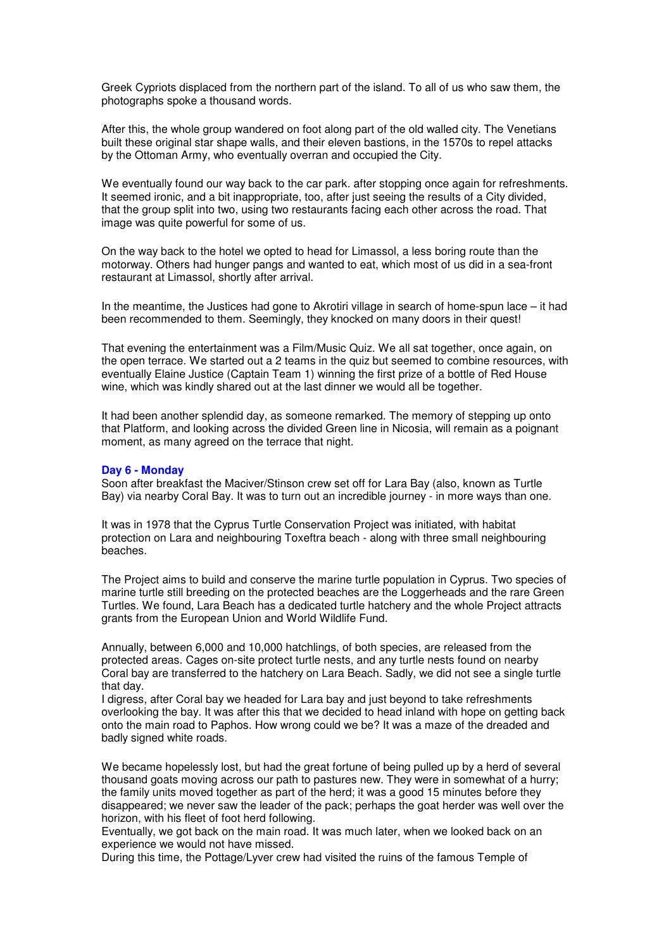Greek Cypriots displaced from the northern part of the island. To all of us who saw them, the photographs spoke a thousand words.

After this, the whole group wandered on foot along part of the old walled city. The Venetians built these original star shape walls, and their eleven bastions, in the 1570s to repel attacks by the Ottoman Army, who eventually overran and occupied the City.

We eventually found our way back to the car park, after stopping once again for refreshments. It seemed ironic, and a bit inappropriate, too, after just seeing the results of a City divided, that the group split into two, using two restaurants facing each other across the road. That image was quite powerful for some of us.

On the way back to the hotel we opted to head for Limassol, a less boring route than the motorway. Others had hunger pangs and wanted to eat, which most of us did in a sea-front restaurant at Limassol, shortly after arrival.

In the meantime, the Justices had gone to Akrotiri village in search of home-spun lace – it had been recommended to them. Seemingly, they knocked on many doors in their quest!

That evening the entertainment was a Film/Music Quiz. We all sat together, once again, on the open terrace. We started out a 2 teams in the quiz but seemed to combine resources, with eventually Elaine Justice (Captain Team 1) winning the first prize of a bottle of Red House wine, which was kindly shared out at the last dinner we would all be together.

It had been another splendid day, as someone remarked. The memory of stepping up onto that Platform, and looking across the divided Green line in Nicosia, will remain as a poignant moment, as many agreed on the terrace that night.

#### **Day 6 - Monday**

Soon after breakfast the Maciver/Stinson crew set off for Lara Bay (also, known as Turtle Bay) via nearby Coral Bay. It was to turn out an incredible journey - in more ways than one.

It was in 1978 that the Cyprus Turtle Conservation Project was initiated, with habitat protection on Lara and neighbouring Toxeftra beach - along with three small neighbouring beaches.

The Project aims to build and conserve the marine turtle population in Cyprus. Two species of marine turtle still breeding on the protected beaches are the Loggerheads and the rare Green Turtles. We found, Lara Beach has a dedicated turtle hatchery and the whole Project attracts grants from the European Union and World Wildlife Fund.

Annually, between 6,000 and 10,000 hatchlings, of both species, are released from the protected areas. Cages on-site protect turtle nests, and any turtle nests found on nearby Coral bay are transferred to the hatchery on Lara Beach. Sadly, we did not see a single turtle that day.

I digress, after Coral bay we headed for Lara bay and just beyond to take refreshments overlooking the bay. It was after this that we decided to head inland with hope on getting back onto the main road to Paphos. How wrong could we be? It was a maze of the dreaded and badly signed white roads.

We became hopelessly lost, but had the great fortune of being pulled up by a herd of several thousand goats moving across our path to pastures new. They were in somewhat of a hurry; the family units moved together as part of the herd; it was a good 15 minutes before they disappeared; we never saw the leader of the pack; perhaps the goat herder was well over the horizon, with his fleet of foot herd following.

Eventually, we got back on the main road. It was much later, when we looked back on an experience we would not have missed.

During this time, the Pottage/Lyver crew had visited the ruins of the famous Temple of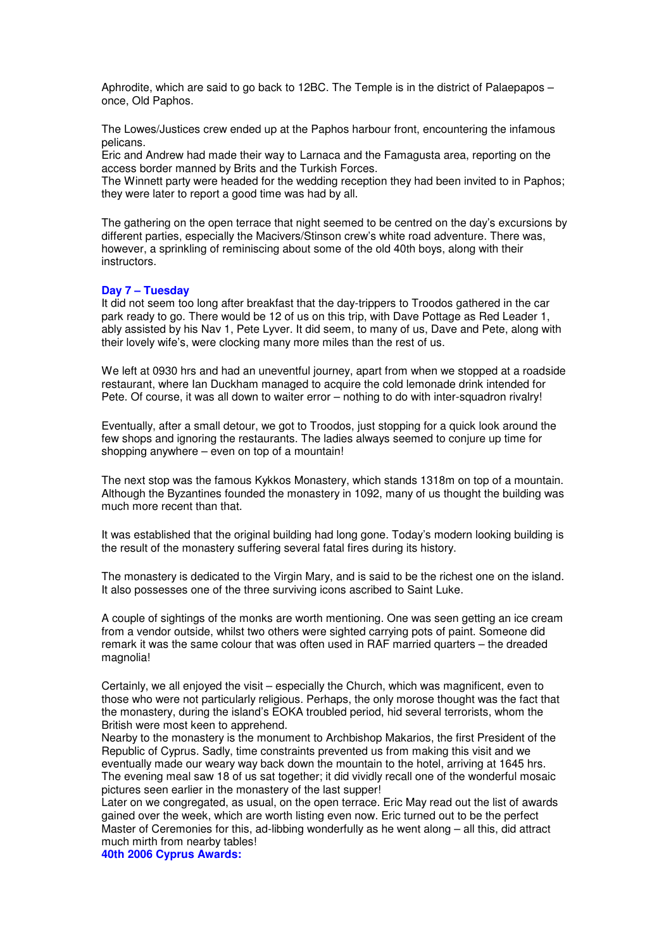Aphrodite, which are said to go back to 12BC. The Temple is in the district of Palaepapos – once, Old Paphos.

The Lowes/Justices crew ended up at the Paphos harbour front, encountering the infamous pelicans.

Eric and Andrew had made their way to Larnaca and the Famagusta area, reporting on the access border manned by Brits and the Turkish Forces.

The Winnett party were headed for the wedding reception they had been invited to in Paphos; they were later to report a good time was had by all.

The gathering on the open terrace that night seemed to be centred on the day's excursions by different parties, especially the Macivers/Stinson crew's white road adventure. There was, however, a sprinkling of reminiscing about some of the old 40th boys, along with their instructors.

### **Day 7 – Tuesday**

It did not seem too long after breakfast that the day-trippers to Troodos gathered in the car park ready to go. There would be 12 of us on this trip, with Dave Pottage as Red Leader 1, ably assisted by his Nav 1, Pete Lyver. It did seem, to many of us, Dave and Pete, along with their lovely wife's, were clocking many more miles than the rest of us.

We left at 0930 hrs and had an uneventful journey, apart from when we stopped at a roadside restaurant, where Ian Duckham managed to acquire the cold lemonade drink intended for Pete. Of course, it was all down to waiter error – nothing to do with inter-squadron rivalry!

Eventually, after a small detour, we got to Troodos, just stopping for a quick look around the few shops and ignoring the restaurants. The ladies always seemed to conjure up time for shopping anywhere – even on top of a mountain!

The next stop was the famous Kykkos Monastery, which stands 1318m on top of a mountain. Although the Byzantines founded the monastery in 1092, many of us thought the building was much more recent than that.

It was established that the original building had long gone. Today's modern looking building is the result of the monastery suffering several fatal fires during its history.

The monastery is dedicated to the Virgin Mary, and is said to be the richest one on the island. It also possesses one of the three surviving icons ascribed to Saint Luke.

A couple of sightings of the monks are worth mentioning. One was seen getting an ice cream from a vendor outside, whilst two others were sighted carrying pots of paint. Someone did remark it was the same colour that was often used in RAF married quarters – the dreaded magnolia!

Certainly, we all enjoyed the visit – especially the Church, which was magnificent, even to those who were not particularly religious. Perhaps, the only morose thought was the fact that the monastery, during the island's EOKA troubled period, hid several terrorists, whom the British were most keen to apprehend.

Nearby to the monastery is the monument to Archbishop Makarios, the first President of the Republic of Cyprus. Sadly, time constraints prevented us from making this visit and we eventually made our weary way back down the mountain to the hotel, arriving at 1645 hrs. The evening meal saw 18 of us sat together; it did vividly recall one of the wonderful mosaic pictures seen earlier in the monastery of the last supper!

Later on we congregated, as usual, on the open terrace. Eric May read out the list of awards gained over the week, which are worth listing even now. Eric turned out to be the perfect Master of Ceremonies for this, ad-libbing wonderfully as he went along – all this, did attract much mirth from nearby tables!

**40th 2006 Cyprus Awards:**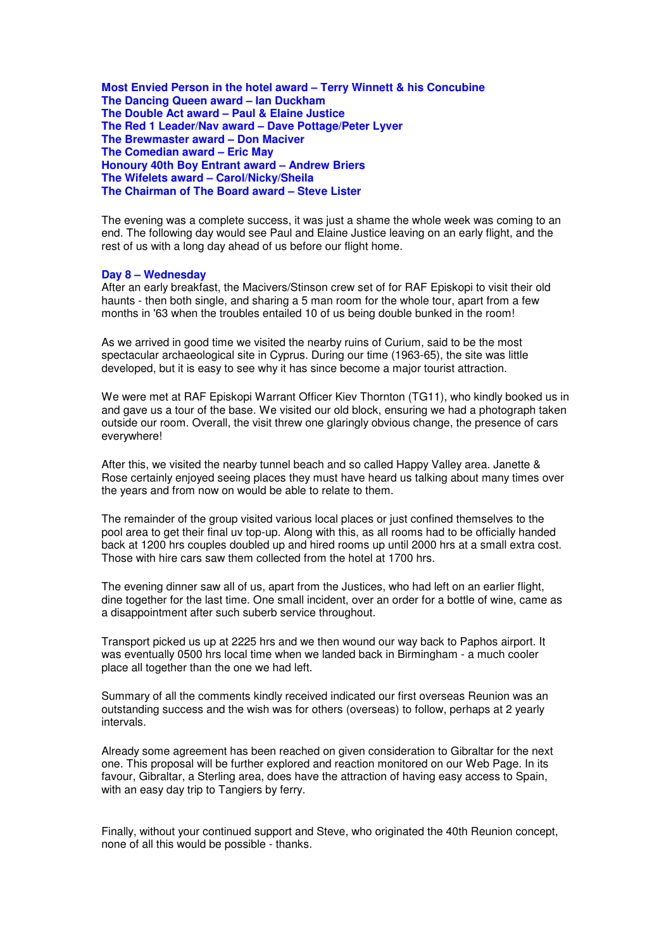**Most Envied Person in the hotel award – Terry Winnett & his Concubine The Dancing Queen award – Ian Duckham The Double Act award – Paul & Elaine Justice The Red 1 Leader/Nav award – Dave Pottage/Peter Lyver The Brewmaster award – Don Maciver The Comedian award – Eric May Honoury 40th Boy Entrant award – Andrew Briers The Wifelets award – Carol/Nicky/Sheila The Chairman of The Board award – Steve Lister**

The evening was a complete success, it was just a shame the whole week was coming to an end. The following day would see Paul and Elaine Justice leaving on an early flight, and the rest of us with a long day ahead of us before our flight home.

### **Day 8 – Wednesday**

After an early breakfast, the Macivers/Stinson crew set of for RAF Episkopi to visit their old haunts - then both single, and sharing a 5 man room for the whole tour, apart from a few months in '63 when the troubles entailed 10 of us being double bunked in the room!

As we arrived in good time we visited the nearby ruins of Curium, said to be the most spectacular archaeological site in Cyprus. During our time (1963-65), the site was little developed, but it is easy to see why it has since become a major tourist attraction.

We were met at RAF Episkopi Warrant Officer Kiev Thornton (TG11), who kindly booked us in and gave us a tour of the base. We visited our old block, ensuring we had a photograph taken outside our room. Overall, the visit threw one glaringly obvious change, the presence of cars everywhere!

After this, we visited the nearby tunnel beach and so called Happy Valley area. Janette & Rose certainly enjoyed seeing places they must have heard us talking about many times over the years and from now on would be able to relate to them.

The remainder of the group visited various local places or just confined themselves to the pool area to get their final uv top-up. Along with this, as all rooms had to be officially handed back at 1200 hrs couples doubled up and hired rooms up until 2000 hrs at a small extra cost. Those with hire cars saw them collected from the hotel at 1700 hrs.

The evening dinner saw all of us, apart from the Justices, who had left on an earlier flight, dine together for the last time. One small incident, over an order for a bottle of wine, came as a disappointment after such suberb service throughout.

Transport picked us up at 2225 hrs and we then wound our way back to Paphos airport. It was eventually 0500 hrs local time when we landed back in Birmingham - a much cooler place all together than the one we had left.

Summary of all the comments kindly received indicated our first overseas Reunion was an outstanding success and the wish was for others (overseas) to follow, perhaps at 2 yearly intervals.

Already some agreement has been reached on given consideration to Gibraltar for the next one. This proposal will be further explored and reaction monitored on our Web Page. In its favour, Gibraltar, a Sterling area, does have the attraction of having easy access to Spain, with an easy day trip to Tangiers by ferry.

Finally, without your continued support and Steve, who originated the 40th Reunion concept, none of all this would be possible - thanks.